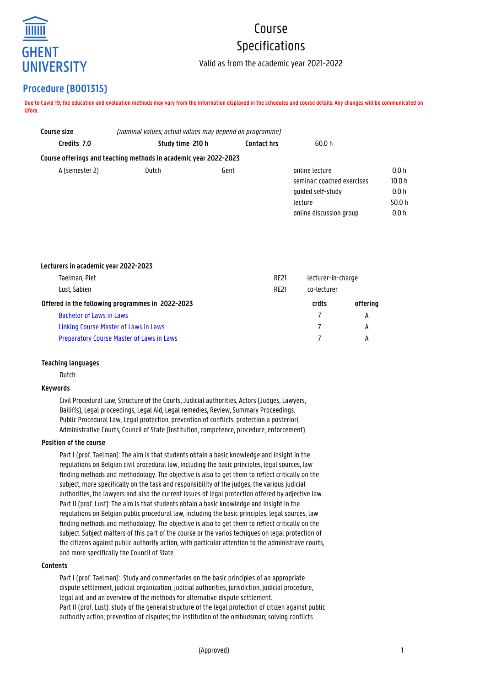

# Course Specifications

Valid as from the academic year 2021-2022

# **Procedure (B001315)**

**Due to Covid 19, the education and evaluation methods may vary from the information displayed in the schedules and course details. Any changes will be communicated on Ufora.**

| Course size    | (nominal values; actual values may depend on programme)          |                    |                            |                   |  |
|----------------|------------------------------------------------------------------|--------------------|----------------------------|-------------------|--|
| Credits 7.0    | Study time 210 h                                                 | <b>Contact hrs</b> | 60.0 h                     |                   |  |
|                | Course offerings and teaching methods in academic year 2022-2023 |                    |                            |                   |  |
| A (semester 2) | Dutch                                                            | Gent               | online lecture             | 0.0 h             |  |
|                |                                                                  |                    | seminar: coached exercises | 10.0 <sub>h</sub> |  |
|                |                                                                  |                    | quided self-study          | 0.0h              |  |
|                |                                                                  |                    | lecture                    | 50.0 h            |  |
|                |                                                                  |                    | online discussion group    | 0.0 h             |  |

#### **Lecturers in academic year 2022-2023**

| <b>RE21</b>                                      | lecturer-in-charge |       |
|--------------------------------------------------|--------------------|-------|
| <b>RF21</b>                                      | co-lecturer        |       |
| Offered in the following programmes in 2022-2023 |                    |       |
|                                                  | 7                  | A     |
|                                                  | $\mathcal{I}$      | A     |
|                                                  |                    | А     |
|                                                  |                    | crdts |

#### **Teaching languages**

Dutch

# **Keywords**

Civil Procedural Law, Structure of the Courts, Judicial authorities, Actors (Judges, Lawyers, Bailiffs), Legal proceedings, Legal Aid, Legal remedies, Review, Summary Proceedings. Public Procedural Law, Legal protection, prevention of conflicts, protection a posteriori, Administrative Courts, Council of State (institution, competence, procedure, enforcement)

# **Position of the course**

Part I (prof. Taelman): The aim is that students obtain a basic knowledge and insight in the regulations on Belgian civil procedural law, including the basic principles, legal sources, law finding methods and methodology. The objective is also to get them to reflect critically on the subject, more specifically on the task and responsibility of the judges, the various judicial authorities, the lawyers and also the current issues of legal protection offered by adjective law. Part II (prof. Lust): The aim is that students obtain a basic knowledge and insight in the regulations on Belgian public procedural law, including the basic principles, legal sources, law finding methods and methodology. The objective is also to get them to reflect critically on the subject. Subject matters of this part of the course or the varios techiques on legal protection of the citizens against public authority action, with particular attention to the administrave courts, and more specifically the Council of State.

#### **Contents**

Part I (prof. Taelman): Study and commentaries on the basic principles of an appropriate dispute settlement, judicial organization, judicial authorities, jurisdiction, judicial procedure, legal aid, and an overview of the methods for alternative dispute settlement. Part II (prof. Lust): study of the general structure of the legal protection of citizen against public authority action; prevention of disputes; the institution of the ombudsman; solving conflicts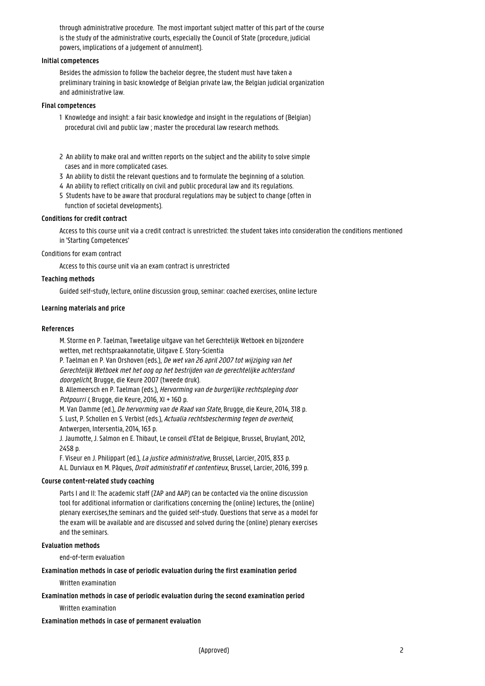through administrative procedure. The most important subject matter of this part of the course is the study of the administrative courts, especially the Council of State (procedure, judicial powers, implications of a judgement of annulment).

#### **Initial competences**

Besides the admission to follow the bachelor degree, the student must have taken a preliminary training in basic knowledge of Belgian private law, the Belgian judicial organization and administrative law.

#### **Final competences**

- 1 Knowledge and insight: a fair basic knowledge and insight in the regulations of (Belgian) procedural civil and public law ; master the procedural law research methods.
- 2 An ability to make oral and written reports on the subject and the ability to solve simple cases and in more complicated cases.
- 3 An ability to distil the relevant questions and to formulate the beginning of a solution.
- 4 An ability to reflect critically on civil and public procedural law and its regulations.
- 5 Students have to be aware that procdural regulations may be subject to change (often in function of societal developments).

# **Conditions for credit contract**

Access to this course unit via a credit contract is unrestricted: the student takes into consideration the conditions mentioned in 'Starting Competences'

#### Conditions for exam contract

Access to this course unit via an exam contract is unrestricted

# **Teaching methods**

Guided self-study, lecture, online discussion group, seminar: coached exercises, online lecture

#### **Learning materials and price**

#### **References**

M. Storme en P. Taelman, Tweetalige uitgave van het Gerechtelijk Wetboek en bijzondere wetten, met rechtspraakannotatie, Uitgave E. Story-Scientia

P. Taelman en P. Van Orshoven (eds.), De wet van 26 april 2007 tot wijziging van het Gerechtelijk Wetboek met het oog op het bestrijden van de gerechtelijke achterstand doorgelicht, Brugge, die Keure 2007 (tweede druk).

B. Allemeersch en P. Taelman (eds.), Hervorming van de burgerlijke rechtspleging door Potpourri I, Brugge, die Keure, 2016, XI + 160 p.

M. Van Damme (ed.), De hervorming van de Raad van State, Brugge, die Keure, 2014, 318 p. S. Lust, P. Schollen en S. Verbist (eds.), Actualia rechtsbescherming tegen de overheid, Antwerpen, Intersentia, 2014, 163 p.

J. Jaumotte, J. Salmon en E. Thibaut, Le conseil d'Etat de Belgique, Brussel, Bruylant, 2012, 2458 p.

F. Viseur en J. Philippart (ed.), La justice administrative, Brussel, Larcier, 2015, 833 p. A.L. Durviaux en M. Pâques, Droit administratif et contentieux, Brussel, Larcier, 2016, 399 p.

# **Course content-related study coaching**

Parts I and II: The academic staff (ZAP and AAP) can be contacted via the online discussion tool for additional information or clarifications concerning the (online) lectures, the (online) plenary exercises,the seminars and the guided self-study. Questions that serve as a model for the exam will be available and are discussed and solved during the (online) plenary exercises and the seminars.

#### **Evaluation methods**

end-of-term evaluation

**Examination methods in case of periodic evaluation during the first examination period**

Written examination

#### **Examination methods in case of periodic evaluation during the second examination period**

Written examination

#### **Examination methods in case of permanent evaluation**